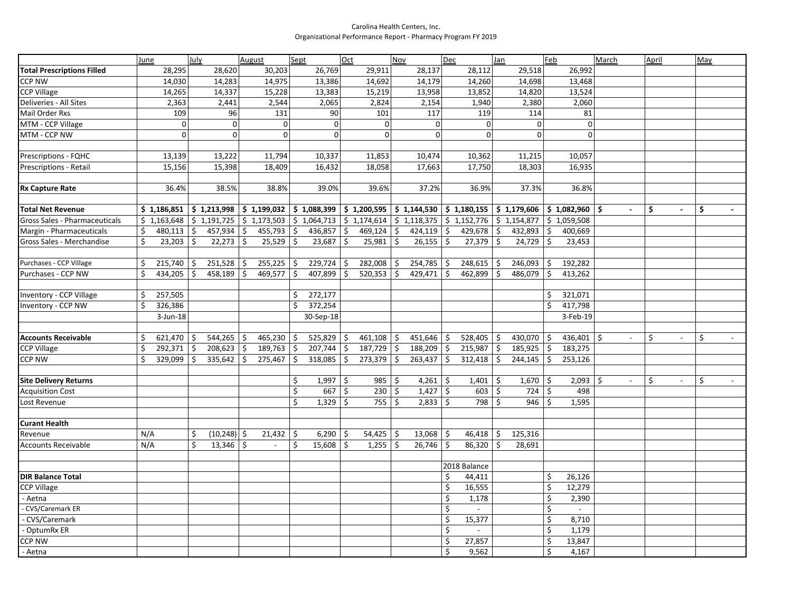## Carolina Health Centers, Inc. Organizational Performance Report - Pharmacy Program FY 2019

|                                                  | June                         | July                                     | August                             | Sept                                    | Oct                                      | Nov                                                                     | Dec                                                                                                                                                              | Jan                                                   | Feb                       | March  | April        | May |
|--------------------------------------------------|------------------------------|------------------------------------------|------------------------------------|-----------------------------------------|------------------------------------------|-------------------------------------------------------------------------|------------------------------------------------------------------------------------------------------------------------------------------------------------------|-------------------------------------------------------|---------------------------|--------|--------------|-----|
| <b>Total Prescriptions Filled</b>                | 28,295                       | 28,620                                   | 30,203                             | 26,769                                  | 29,911                                   | 28,137                                                                  | 28,112                                                                                                                                                           | 29,518                                                | 26,992                    |        |              |     |
| CCP NW                                           | 14,030                       | 14,283                                   | 14,975                             | 13,386                                  | 14,692                                   | 14,179                                                                  | 14,260                                                                                                                                                           | 14,698                                                | 13,468                    |        |              |     |
| <b>CCP Village</b>                               | 14,265                       | 14,337                                   | 15,228                             | 13,383                                  | 15,219                                   | 13,958                                                                  | 13,852                                                                                                                                                           | 14,820                                                | 13,524                    |        |              |     |
| Deliveries - All Sites                           | 2,363                        | 2,441                                    | 2,544                              | 2,065                                   | 2,824                                    | 2,154                                                                   | 1,940                                                                                                                                                            | 2,380                                                 | 2,060                     |        |              |     |
| <b>Mail Order Rxs</b>                            | 109                          | 96                                       | 131                                | 90                                      | 101                                      | 117                                                                     | 119                                                                                                                                                              | 114                                                   | 81                        |        |              |     |
| MTM - CCP Village                                | $\mathbf 0$                  | $\overline{0}$                           | $\mathbf 0$                        | $\mathbf 0$                             | $\Omega$                                 | $\pmb{0}$                                                               | $\Omega$                                                                                                                                                         | $\mathbf{0}$                                          | $\mathbf 0$               |        |              |     |
| MTM - CCP NW                                     | $\mathbf{0}$                 | $\Omega$                                 | $\Omega$                           | $\Omega$                                | $\Omega$                                 | $\overline{0}$                                                          | $\Omega$                                                                                                                                                         | $\Omega$                                              | $\Omega$                  |        |              |     |
|                                                  |                              |                                          |                                    |                                         |                                          |                                                                         |                                                                                                                                                                  |                                                       |                           |        |              |     |
| Prescriptions - FQHC                             | 13,139                       | 13,222                                   | 11,794                             | 10,337                                  | 11,853                                   | 10,474                                                                  | 10,362                                                                                                                                                           | 11,215                                                | 10,057                    |        |              |     |
| <b>Prescriptions - Retail</b>                    | 15,156                       | 15,398                                   | 18,409                             | 16,432                                  | 18,058                                   | 17,663                                                                  | 17,750                                                                                                                                                           | 18,303                                                | 16,935                    |        |              |     |
|                                                  |                              |                                          |                                    |                                         |                                          |                                                                         |                                                                                                                                                                  |                                                       |                           |        |              |     |
| <b>Rx Capture Rate</b>                           | 36.4%                        | 38.5%                                    | 38.8%                              | 39.0%                                   | 39.6%                                    | 37.2%                                                                   | 36.9%                                                                                                                                                            | 37.3%                                                 | 36.8%                     |        |              |     |
|                                                  |                              |                                          |                                    |                                         |                                          |                                                                         |                                                                                                                                                                  |                                                       |                           |        |              |     |
| <b>Total Net Revenue</b>                         | \$1,186,851                  |                                          |                                    |                                         |                                          |                                                                         | $ \;$ \$ 1,213,998 $ \;$ \$ 1,199,032 $ \;$ \$ 1,088,399 $ \;$ \$ 1,200,595 $ \;$ \$ 1,144,530 $ \;$ \$ 1,180,155 $ \;$ \$ 1,179,606 $ \;$ \$ 1,082,960 $ \;$ \$ |                                                       |                           |        | \$           | \$  |
| Gross Sales - Pharmaceuticals                    | \$1,163,648                  | \$1,191,725                              |                                    | $\frac{1}{2}$ \$ 1,173,503 \$ 1,064,713 |                                          | $\frac{1}{2}$ 1,174,614 $\frac{1}{2}$ 1,118,375 $\frac{1}{2}$ 1,152,776 |                                                                                                                                                                  | $\frac{1}{2}$ \$ 1,154,877 $\frac{1}{2}$ \$ 1,059,508 |                           |        |              |     |
| Margin - Pharmaceuticals                         | 480,113<br>\$                | $457,934$ \$<br>5                        | $455,793$ \$                       | $436,857$ \$                            | $469,124$ \$                             | $424,119$ \$                                                            | 429,678                                                                                                                                                          | l \$<br>$432,893$ \$                                  | 400,669                   |        |              |     |
| Gross Sales - Merchandise                        | 23,203<br>Ś                  | \$<br>22,273                             | $\zeta$<br>$25,529$ \$             | 23,687                                  | \$<br>25,981                             | \$<br>$26,155$ \$                                                       | 27,379                                                                                                                                                           | $\dot{\mathsf{S}}$<br>$24,729$ \$                     | 23,453                    |        |              |     |
|                                                  |                              |                                          |                                    |                                         |                                          |                                                                         |                                                                                                                                                                  |                                                       |                           |        |              |     |
| Purchases - CCP Village                          | \$<br>215,740                | 251,528<br>\$                            | $\ddot{\varsigma}$<br>$255,225$ \$ | 229,724                                 | 282,008<br>\$                            | 254,785<br>۱Ş                                                           | 248,615<br>  \$                                                                                                                                                  | 246,093 \$<br>-\$                                     | 192,282                   |        |              |     |
| Purchases - CCP NW                               | 434,205                      | Ś<br>458,189                             | $\mathsf{S}$<br>469,577 \$         | 407,899                                 | \$<br>520,353                            | 429,471<br>-S                                                           | l\$<br>462,899                                                                                                                                                   | \$<br>486,079                                         | \$<br>413,262             |        |              |     |
|                                                  |                              |                                          |                                    |                                         |                                          |                                                                         |                                                                                                                                                                  |                                                       |                           |        |              |     |
| Inventory - CCP Village                          | Ś<br>257,505                 |                                          |                                    | Ŝ.<br>272,177                           |                                          |                                                                         |                                                                                                                                                                  |                                                       | Ŝ.<br>321,071             |        |              |     |
| Inventory - CCP NW                               | 326,386                      |                                          |                                    | 372,254<br>Ŝ.                           |                                          |                                                                         |                                                                                                                                                                  |                                                       | Ś.<br>417,798             |        |              |     |
|                                                  | $3$ -Jun-18                  |                                          |                                    | 30-Sep-18                               |                                          |                                                                         |                                                                                                                                                                  |                                                       | 3-Feb-19                  |        |              |     |
|                                                  |                              |                                          |                                    |                                         |                                          |                                                                         |                                                                                                                                                                  |                                                       |                           |        |              |     |
| <b>Accounts Receivable</b><br><b>CCP Village</b> | 621,470<br>Ś<br>Ś<br>292,371 | $544,265$ \$<br>\$<br>\$<br>$208,623$ \$ | $465,230$ \$<br>189,763 \$         | 525,829<br>207,744                      | \$<br>$461,108$ \$<br>\$<br>$187,729$ \$ | $451,646$ \$<br>$188,209$ \$                                            | 528,405<br>215,987                                                                                                                                               | \$<br>430,070 \$<br>  \$<br>$185,925$ \$              | 436,401<br>183,275        | \$     | \$           | \$  |
| <b>CCP NW</b>                                    | 329,099<br>Ś                 | Ś.<br>$335,642$ \$                       | $275,467$ \$                       | 318,085                                 | \$<br>$273,379$ \$                       | $263,437$ \$                                                            | 312,418                                                                                                                                                          | $244,145$ \$<br>l \$                                  | 253,126                   |        |              |     |
|                                                  |                              |                                          |                                    |                                         |                                          |                                                                         |                                                                                                                                                                  |                                                       |                           |        |              |     |
| <b>Site Delivery Returns</b>                     |                              |                                          |                                    | $1,997$   \$<br>\$                      | $985 \mid 5$                             | $4,261$ \$                                                              | 1,401                                                                                                                                                            | $1,670$ \$<br>\$                                      | $2,093$   \$              | $\sim$ | \$<br>$\sim$ | \$  |
| <b>Acquisition Cost</b>                          |                              |                                          |                                    | \$<br>667                               | \$<br>230                                | \$<br>1,427                                                             | $\vert$ \$<br>603                                                                                                                                                | \$<br>$724$ \$                                        | 498                       |        |              |     |
| Lost Revenue                                     |                              |                                          |                                    | \$<br>1,329                             | \$<br>755                                | $2,833$ \$<br>\$                                                        | 798                                                                                                                                                              | $\mathsf{\hat{S}}$<br>$946$ \$                        | 1,595                     |        |              |     |
|                                                  |                              |                                          |                                    |                                         |                                          |                                                                         |                                                                                                                                                                  |                                                       |                           |        |              |     |
| <b>Curant Health</b>                             |                              |                                          |                                    |                                         |                                          |                                                                         |                                                                                                                                                                  |                                                       |                           |        |              |     |
| Revenue                                          | N/A                          | $(10,248)$ \$<br>\$                      | $21,432$ \$                        | 6,290                                   | \$<br>$54,425$ \$                        | $13,068$ \$                                                             | $46,418$ \$                                                                                                                                                      | 125,316                                               |                           |        |              |     |
| <b>Accounts Receivable</b>                       | N/A                          | Ś.<br>$13,346$ \$                        | $\overline{\phantom{a}}$           | \$<br>15,608                            | $\mathsf{\hat{S}}$<br>1,255              | \$<br>26,746                                                            | l\$<br>86,320                                                                                                                                                    | \$<br>28,691                                          |                           |        |              |     |
|                                                  |                              |                                          |                                    |                                         |                                          |                                                                         |                                                                                                                                                                  |                                                       |                           |        |              |     |
|                                                  |                              |                                          |                                    |                                         |                                          |                                                                         | 2018 Balance                                                                                                                                                     |                                                       |                           |        |              |     |
| <b>DIR Balance Total</b>                         |                              |                                          |                                    |                                         |                                          |                                                                         | \$<br>44,411                                                                                                                                                     |                                                       | \$<br>26,126              |        |              |     |
| <b>CCP Village</b>                               |                              |                                          |                                    |                                         |                                          |                                                                         | \$<br>16,555                                                                                                                                                     |                                                       | \$<br>12,279              |        |              |     |
| Aetna                                            |                              |                                          |                                    |                                         |                                          |                                                                         | \$<br>1,178                                                                                                                                                      |                                                       | Ś.<br>2,390               |        |              |     |
| <b>CVS/Caremark ER</b>                           |                              |                                          |                                    |                                         |                                          |                                                                         | \$<br>$\sim$                                                                                                                                                     |                                                       | \$<br>$\sim$              |        |              |     |
| CVS/Caremark                                     |                              |                                          |                                    |                                         |                                          |                                                                         | \$<br>15,377                                                                                                                                                     |                                                       | \$<br>8,710               |        |              |     |
| OptumRx ER                                       |                              |                                          |                                    |                                         |                                          |                                                                         | \$<br>$\mathbb{Z}^2$                                                                                                                                             |                                                       | $\overline{\xi}$<br>1,179 |        |              |     |
| $CCP$ NW                                         |                              |                                          |                                    |                                         |                                          |                                                                         | \$<br>27,857                                                                                                                                                     |                                                       | \$<br>13,847              |        |              |     |
| - Aetna                                          |                              |                                          |                                    |                                         |                                          |                                                                         | \$<br>9,562                                                                                                                                                      |                                                       | \$<br>4,167               |        |              |     |